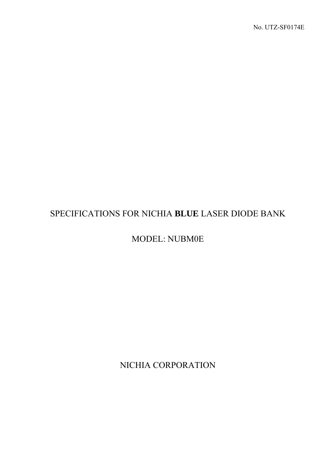# SPECIFICATIONS FOR NICHIA **BLUE** LASER DIODE BANK

MODEL: NUBM0E

NICHIA CORPORATION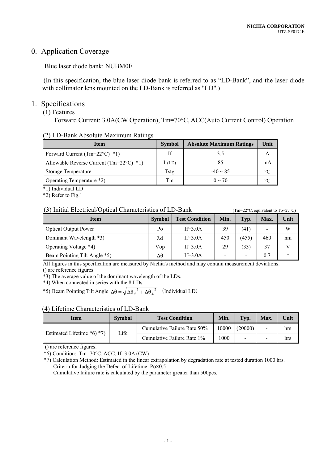# 0. Application Coverage

Blue laser diode bank: NUBM0E

(In this specification, the blue laser diode bank is referred to as "LD-Bank", and the laser diode with collimator lens mounted on the LD-Bank is referred as "LD".)

## 1. Specifications

# (1) Features

Forward Current: 3.0A(CW Operation), Tm=70°C, ACC(Auto Current Control) Operation

#### (2) LD-Bank Absolute Maximum Ratings

| <b>Item</b>                                        | <b>Symbol</b> | <b>Absolute Maximum Ratings</b> | Unit |
|----------------------------------------------------|---------------|---------------------------------|------|
| Forward Current (Tm= $22^{\circ}$ C) *1)           | Īf            |                                 |      |
| Allowable Reverse Current (Tm= $22^{\circ}$ C) *1) | lr(LD)        |                                 | mA   |
| Storage Temperature                                | Tstg          | $-40 \sim 85$                   |      |
| Operating Temperature *2)                          | Tm            | $0 \sim 70$                     |      |

\*1) Individual LD

\*2) Refer to Fig.1

#### (3) Initial Electrical/Optical Characteristics of LD-Bank  $(Tm=22^{\circ}C,$  equivalent to Tb=27°C)

| <b>Item</b>                  | <b>Symbol</b> | <b>Test Condition</b> | Min. | Typ.  | Max.                     | Unit    |
|------------------------------|---------------|-----------------------|------|-------|--------------------------|---------|
| <b>Optical Output Power</b>  | Po            | If= $3.0A$            | 39   | (41)  | $\overline{\phantom{a}}$ | W       |
| Dominant Wavelength *3)      | λd            | If= $3.0A$            | 450  | (455) | 460                      | nm      |
| Operating Voltage *4)        | Vop           | If= $3.0A$            | 29   | (33)  | 37                       |         |
| Beam Pointing Tilt Angle *5) | Δθ            | If= $3.0A$            | ۰    | -     | 0.7                      | $\circ$ |

All figures in this specification are measured by Nichia's method and may contain measurement deviations. () are reference figures.

\*3) The average value of the dominant wavelength of the LDs.

\*4) When connected in series with the 8 LDs.

\*5) Beam Pointing Tilt Angle  $\Delta\theta = \sqrt{\Delta\theta_{\parallel}^2 + \Delta\theta_{\perp}^2}$  (Individual LD)

#### (4) Lifetime Characteristics of LD-Bank

| <b>Item</b>                | <b>Symbol</b> | <b>Test Condition</b>       | Min.  | Typ.    | Max.                     | Unit |
|----------------------------|---------------|-----------------------------|-------|---------|--------------------------|------|
| Estimated Lifetime *6) *7) | Life          | Cumulative Failure Rate 50% | 10000 | (20000) | Ξ.                       | hrs  |
|                            |               | Cumulative Failure Rate 1%  | 1000  |         | $\overline{\phantom{0}}$ | hrs  |

() are reference figures.

 $*6$ ) Condition: Tm=70°C, ACC, If=3.0A (CW)

\*7) Calculation Method: Estimated in the linear extrapolation by degradation rate at tested duration 1000 hrs. Criteria for Judging the Defect of Lifetime: Po×0.5

Cumulative failure rate is calculated by the parameter greater than 500pcs.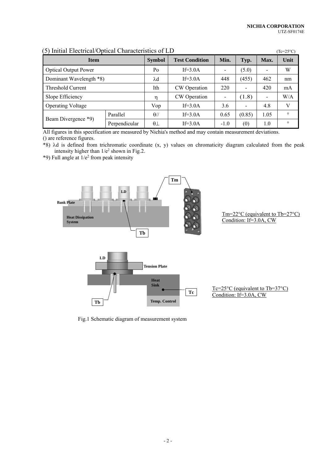| IJI.<br>Tillual Electrical/Optical Characterístics of ED |               |                               |              |        |        |                          | $1C = 25^{\circ}$ C) |
|----------------------------------------------------------|---------------|-------------------------------|--------------|--------|--------|--------------------------|----------------------|
| <b>Item</b>                                              | <b>Symbol</b> | <b>Test Condition</b><br>Min. |              | Typ.   | Max.   | Unit                     |                      |
| <b>Optical Output Power</b>                              |               | Po                            | If= $3.0A$   |        | (5.0)  | $\overline{\phantom{0}}$ | W                    |
| Dominant Wavelength *8)                                  |               | $\lambda$ d                   | $If=3.0A$    | 448    | (455)  | 462                      | nm                   |
| Threshold Current                                        |               | Ith                           | CW Operation | 220    | -      | 420                      | mA                   |
| Slope Efficiency                                         |               | η                             | CW Operation |        | (1.8)  | $\overline{\phantom{0}}$ | W/A                  |
| <b>Operating Voltage</b>                                 |               | Vop                           | $If=3.0A$    | 3.6    | ۰      | 4.8                      | V                    |
| Beam Divergence *9)                                      | Parallel      | $\theta$ //                   | $If=3.0A$    | 0.65   | (0.85) | 1.05                     | $\circ$              |
|                                                          | Perpendicular | $\theta\bot$                  | $If=3.0A$    | $-1.0$ | (0)    | 1.0                      | $\circ$              |

#### $(5)$  Initial Electrical/Optical Characteristics of LD  $(T_{\text{c}}=250)$

All figures in this specification are measured by Nichia's method and may contain measurement deviations. () are reference figures.

\*8) d is defined from trichromatic coordinate (x, y) values on chromaticity diagram calculated from the peak intensity higher than  $1/e^2$  shown in Fig.2.

 $*9$ ) Full angle at  $1/e<sup>2</sup>$  from peak intensity



Tm=22°C (equivalent to Tb=27°C) Condition: If=3.0A, CW

Fig.1 Schematic diagram of measurement system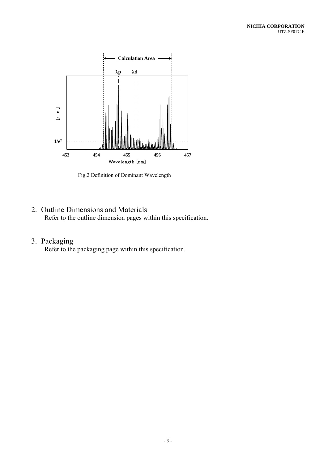

Fig.2 Definition of Dominant Wavelength

2. Outline Dimensions and Materials Refer to the outline dimension pages within this specification.

# 3. Packaging

Refer to the packaging page within this specification.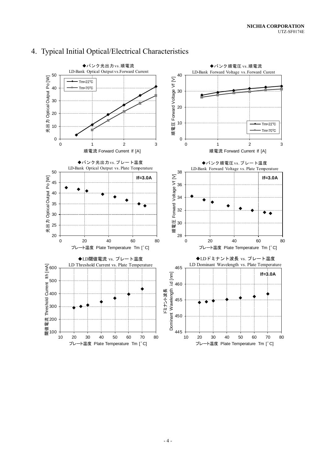

# 4. Typical Initial Optical/Electrical Characteristics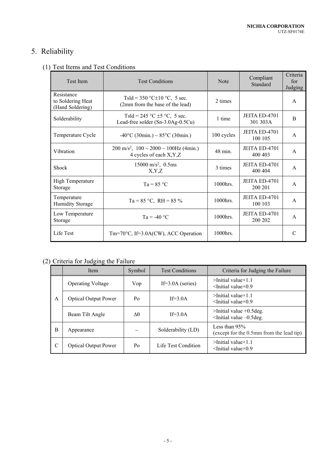# 5. Reliability

# (1) Test Items and Test Conditions

| <b>Test Item</b>                                    | <b>Test Conditions</b>                                                                        | <b>Note</b> | Compliant<br>Standard            | Criteria<br>for<br>Judging |
|-----------------------------------------------------|-----------------------------------------------------------------------------------------------|-------------|----------------------------------|----------------------------|
| Resistance<br>to Soldering Heat<br>(Hand Soldering) | Tsld = 350 °C $\pm$ 10 °C, 5 sec.<br>(2mm from the base of the lead)                          | 2 times     |                                  | $\mathsf{A}$               |
| Solderability                                       | Tsld = 245 °C $\pm$ 5 °C, 5 sec.<br>Lead-free solder (Sn-3.0Ag-0.5Cu)                         | 1 time      | <b>JEITA ED-4701</b><br>301 303A | B                          |
| Temperature Cycle                                   | $-40^{\circ}$ C (30min.) ~ 85 $^{\circ}$ C (30min.)                                           | 100 cycles  | JEITA ED-4701<br>100 105         | $\mathsf{A}$               |
| Vibration                                           | $200 \text{ m/s}^2$ , $100 \sim 2000 \sim 100 \text{ Hz}$ (4min.)<br>4 cycles of each X, Y, Z | 48 min.     | <b>JEITA ED-4701</b><br>400 403  | $\mathsf{A}$               |
| Shock                                               | $15000 \text{ m/s}^2$ , 0.5ms<br>X,Y,Z                                                        | 3 times     | JEITA ED-4701<br>400 404         | $\mathsf{A}$               |
| <b>High Temperature</b><br>Storage                  | $Ta = 85 °C$                                                                                  | 1000hrs.    | JEITA ED-4701<br>200 201         | $\mathsf{A}$               |
| Temperature<br><b>Humidity Storage</b>              | Ta = $85 °C$ , RH = $85 \%$                                                                   | 1000hrs.    | JEITA ED-4701<br>100 103         | $\mathsf{A}$               |
| Low Temperature<br>Storage                          | $Ta = -40 °C$                                                                                 | 1000hrs.    | <b>JEITA ED-4701</b><br>200 202  | $\mathsf{A}$               |
| Life Test                                           | Tm=70°C, If=3.0A(CW), ACC Operation                                                           | 1000hrs.    |                                  | C                          |

# (2) Criteria for Judging the Failure

|               | Item                        | Symbol | <b>Test Conditions</b> | Criteria for Judging the Failure                                   |  |  |
|---------------|-----------------------------|--------|------------------------|--------------------------------------------------------------------|--|--|
|               | <b>Operating Voltage</b>    | Vop    | If= $3.0A$ (series)    | $>$ Initial value $\times$ 1.1<br>$\le$ Initial value $\times$ 0.9 |  |  |
| A             | <b>Optical Output Power</b> | Po     | $If=3.0A$              | $>$ Initial value $\times$ 1.1<br>$\le$ Initial value $\times$ 0.9 |  |  |
|               | Beam Tilt Angle             | Aθ     | If= $3.0A$             | $\ge$ Initial value +0.5 deg.<br>$\le$ Initial value $-0.5$ deg.   |  |  |
| B             | Appearance                  |        | Solderability (LD)     | Less than $95%$<br>(except for the 0.5mm from the lead tip)        |  |  |
| $\mathcal{C}$ | <b>Optical Output Power</b> | Po     | Life Test Condition    | $>$ Initial value $\times$ 1.1<br>$\le$ Initial value $\times$ 0.9 |  |  |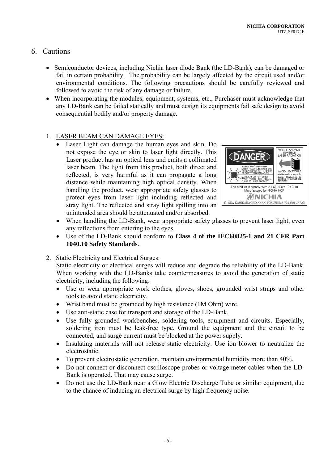# 6. Cautions

- Semiconductor devices, including Nichia laser diode Bank (the LD-Bank), can be damaged or fail in certain probability. The probability can be largely affected by the circuit used and/or environmental conditions. The following precautions should be carefully reviewed and followed to avoid the risk of any damage or failure.
- When incorporating the modules, equipment, systems, etc., Purchaser must acknowledge that any LD-Bank can be failed statically and must design its equipments fail safe design to avoid consequential bodily and/or property damage.

## 1. LASER BEAM CAN DAMAGE EYES:

 Laser Light can damage the human eyes and skin. Do not expose the eye or skin to laser light directly. This Laser product has an optical lens and emits a collimated laser beam. The light from this product, both direct and reflected, is very harmful as it can propagate a long distance while maintaining high optical density. When handling the product, wear appropriate safety glasses to protect eyes from laser light including reflected and stray light. The reflected and stray light spilling into an unintended area should be attenuated and/or absorbed.



- When handling the LD-Bank, wear appropriate safety glasses to prevent laser light, even any reflections from entering to the eyes.
- Use of the LD-Bank should conform to **Class 4 of the IEC60825-1 and 21 CFR Part 1040.10 Safety Standards**.
- 2. Static Electricity and Electrical Surges:

Static electricity or electrical surges will reduce and degrade the reliability of the LD-Bank. When working with the LD-Banks take countermeasures to avoid the generation of static electricity, including the following:

- Use or wear appropriate work clothes, gloves, shoes, grounded wrist straps and other tools to avoid static electricity.
- Wrist band must be grounded by high resistance (1M Ohm) wire.
- Use anti-static case for transport and storage of the LD-Bank.
- Use fully grounded workbenches, soldering tools, equipment and circuits. Especially, soldering iron must be leak-free type. Ground the equipment and the circuit to be connected, and surge current must be blocked at the power supply.
- Insulating materials will not release static electricity. Use ion blower to neutralize the electrostatic.
- To prevent electrostatic generation, maintain environmental humidity more than 40%.
- Do not connect or disconnect oscilloscope probes or voltage meter cables when the LD-Bank is operated. That may cause surge.
- Do not use the LD-Bank near a Glow Electric Discharge Tube or similar equipment, due to the chance of inducing an electrical surge by high frequency noise.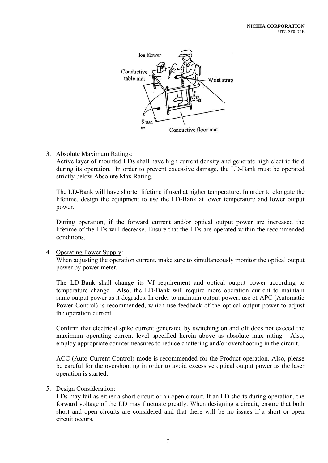

## 3. Absolute Maximum Ratings:

Active layer of mounted LDs shall have high current density and generate high electric field during its operation. In order to prevent excessive damage, the LD-Bank must be operated strictly below Absolute Max Rating.

The LD-Bank will have shorter lifetime if used at higher temperature. In order to elongate the lifetime, design the equipment to use the LD-Bank at lower temperature and lower output power.

During operation, if the forward current and/or optical output power are increased the lifetime of the LDs will decrease. Ensure that the LDs are operated within the recommended conditions.

#### 4. Operating Power Supply:

When adjusting the operation current, make sure to simultaneously monitor the optical output power by power meter.

The LD-Bank shall change its Vf requirement and optical output power according to temperature change. Also, the LD-Bank will require more operation current to maintain same output power as it degrades. In order to maintain output power, use of APC (Automatic Power Control) is recommended, which use feedback of the optical output power to adjust the operation current.

Confirm that electrical spike current generated by switching on and off does not exceed the maximum operating current level specified herein above as absolute max rating. Also, employ appropriate countermeasures to reduce chattering and/or overshooting in the circuit.

ACC (Auto Current Control) mode is recommended for the Product operation. Also, please be careful for the overshooting in order to avoid excessive optical output power as the laser operation is started.

#### 5. Design Consideration:

LDs may fail as either a short circuit or an open circuit. If an LD shorts during operation, the forward voltage of the LD may fluctuate greatly. When designing a circuit, ensure that both short and open circuits are considered and that there will be no issues if a short or open circuit occurs.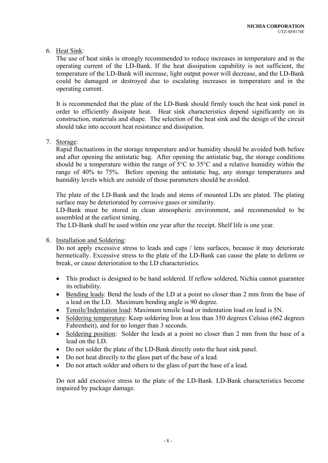### 6. Heat Sink:

The use of heat sinks is strongly recommended to reduce increases in temperature and in the operating current of the LD-Bank. If the heat dissipation capability is not sufficient, the temperature of the LD-Bank will increase, light output power will decrease, and the LD-Bank could be damaged or destroyed due to escalating increases in temperature and in the operating current.

It is recommended that the plate of the LD-Bank should firmly touch the heat sink panel in order to efficiently dissipate heat. Heat sink characteristics depend significantly on its construction, materials and shape. The selection of the heat sink and the design of the circuit should take into account heat resistance and dissipation.

#### 7. Storage:

Rapid fluctuations in the storage temperature and/or humidity should be avoided both before and after opening the antistatic bag. After opening the antistatic bag, the storage conditions should be a temperature within the range of 5°C to 35°C and a relative humidity within the range of 40% to 75%. Before opening the antistatic bag, any storage temperatures and humidity levels which are outside of those parameters should be avoided.

The plate of the LD-Bank and the leads and stems of mounted LDs are plated. The plating surface may be deteriorated by corrosive gases or similarity.

LD-Bank must be stored in clean atmospheric environment, and recommended to be assembled at the earliest timing.

The LD-Bank shall be used within one year after the receipt. Shelf life is one year.

#### 8. Installation and Soldering:

Do not apply excessive stress to leads and caps / lens surfaces, because it may deteriorate hermetically. Excessive stress to the plate of the LD-Bank can cause the plate to deform or break, or cause deterioration to the LD characteristics.

- This product is designed to be hand soldered. If reflow soldered, Nichia cannot guarantee its reliability.
- Bending leads: Bend the leads of the LD at a point no closer than 2 mm from the base of a lead on the LD. Maximum bending angle is 90 degree.
- Tensile/Indentation load: Maximum tensile load or indentation load on lead is 5N.
- Soldering temperature: Keep soldering Iron at less than 350 degrees Celsius (662 degrees Fahrenheit), and for no longer than 3 seconds.
- Soldering position: Solder the leads at a point no closer than 2 mm from the base of a lead on the LD.
- Do not solder the plate of the LD-Bank directly onto the heat sink panel.
- Do not heat directly to the glass part of the base of a lead.
- Do not attach solder and others to the glass of part the base of a lead.

Do not add excessive stress to the plate of the LD-Bank. LD-Bank characteristics become impaired by package damage.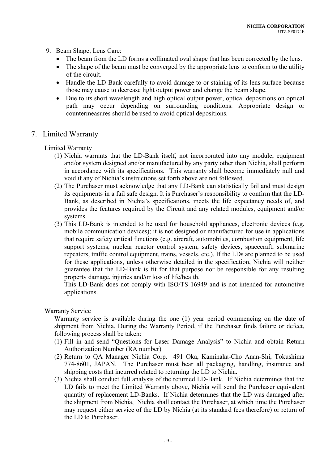### 9. Beam Shape; Lens Care:

- The beam from the LD forms a collimated oval shape that has been corrected by the lens.
- The shape of the beam must be converged by the appropriate lens to conform to the utility of the circuit.
- Handle the LD-Bank carefully to avoid damage to or staining of its lens surface because those may cause to decrease light output power and change the beam shape.
- Due to its short wavelength and high optical output power, optical depositions on optical path may occur depending on surrounding conditions. Appropriate design or countermeasures should be used to avoid optical depositions.

# 7. Limited Warranty

### Limited Warranty

- (1) Nichia warrants that the LD-Bank itself, not incorporated into any module, equipment and/or system designed and/or manufactured by any party other than Nichia, shall perform in accordance with its specifications. This warranty shall become immediately null and void if any of Nichia's instructions set forth above are not followed.
- (2) The Purchaser must acknowledge that any LD-Bank can statistically fail and must design its equipments in a fail safe design. It is Purchaser's responsibility to confirm that the LD-Bank, as described in Nichia's specifications, meets the life expectancy needs of, and provides the features required by the Circuit and any related modules, equipment and/or systems.
- (3) This LD-Bank is intended to be used for household appliances, electronic devices (e.g. mobile communication devices); it is not designed or manufactured for use in applications that require safety critical functions (e.g. aircraft, automobiles, combustion equipment, life support systems, nuclear reactor control system, safety devices, spacecraft, submarine repeaters, traffic control equipment, trains, vessels, etc.). If the LDs are planned to be used for these applications, unless otherwise detailed in the specification, Nichia will neither guarantee that the LD-Bank is fit for that purpose nor be responsible for any resulting property damage, injuries and/or loss of life/health.

This LD-Bank does not comply with ISO/TS 16949 and is not intended for automotive applications.

#### Warranty Service

Warranty service is available during the one (1) year period commencing on the date of shipment from Nichia. During the Warranty Period, if the Purchaser finds failure or defect, following process shall be taken:

- (1) Fill in and send "Questions for Laser Damage Analysis" to Nichia and obtain Return Authorization Number (RA number)
- (2) Return to QA Manager Nichia Corp. 491 Oka, Kaminaka-Cho Anan-Shi, Tokushima 774-8601, JAPAN. The Purchaser must bear all packaging, handling, insurance and shipping costs that incurred related to returning the LD to Nichia.
- (3) Nichia shall conduct full analysis of the returned LD-Bank. If Nichia determines that the LD fails to meet the Limited Warranty above, Nichia will send the Purchaser equivalent quantity of replacement LD-Banks. If Nichia determines that the LD was damaged after the shipment from Nichia, Nichia shall contact the Purchaser, at which time the Purchaser may request either service of the LD by Nichia (at its standard fees therefore) or return of the LD to Purchaser.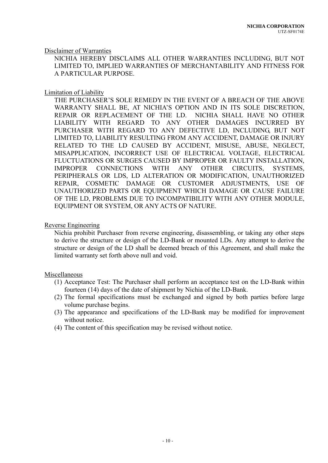#### Disclaimer of Warranties

NICHIA HEREBY DISCLAIMS ALL OTHER WARRANTIES INCLUDING, BUT NOT LIMITED TO, IMPLIED WARRANTIES OF MERCHANTABILITY AND FITNESS FOR A PARTICULAR PURPOSE.

#### Limitation of Liability

THE PURCHASER'S SOLE REMEDY IN THE EVENT OF A BREACH OF THE ABOVE WARRANTY SHALL BE, AT NICHIA'S OPTION AND IN ITS SOLE DISCRETION, REPAIR OR REPLACEMENT OF THE LD. NICHIA SHALL HAVE NO OTHER LIABILITY WITH REGARD TO ANY OTHER DAMAGES INCURRED BY PURCHASER WITH REGARD TO ANY DEFECTIVE LD, INCLUDING, BUT NOT LIMITED TO, LIABILITY RESULTING FROM ANY ACCIDENT, DAMAGE OR INJURY RELATED TO THE LD CAUSED BY ACCIDENT, MISUSE, ABUSE, NEGLECT, MISAPPLICATION, INCORRECT USE OF ELECTRICAL VOLTAGE, ELECTRICAL FLUCTUATIONS OR SURGES CAUSED BY IMPROPER OR FAULTY INSTALLATION, IMPROPER CONNECTIONS WITH ANY OTHER CIRCUITS, SYSTEMS, PERIPHERALS OR LDS, LD ALTERATION OR MODIFICATION, UNAUTHORIZED REPAIR, COSMETIC DAMAGE OR CUSTOMER ADJUSTMENTS, USE OF UNAUTHORIZED PARTS OR EQUIPMENT WHICH DAMAGE OR CAUSE FAILURE OF THE LD, PROBLEMS DUE TO INCOMPATIBILITY WITH ANY OTHER MODULE, EQUIPMENT OR SYSTEM, OR ANY ACTS OF NATURE.

#### Reverse Engineering

Nichia prohibit Purchaser from reverse engineering, disassembling, or taking any other steps to derive the structure or design of the LD-Bank or mounted LDs. Any attempt to derive the structure or design of the LD shall be deemed breach of this Agreement, and shall make the limited warranty set forth above null and void.

#### Miscellaneous

- (1) Acceptance Test: The Purchaser shall perform an acceptance test on the LD-Bank within fourteen (14) days of the date of shipment by Nichia of the LD-Bank.
- (2) The formal specifications must be exchanged and signed by both parties before large volume purchase begins.
- (3) The appearance and specifications of the LD-Bank may be modified for improvement without notice.
- (4) The content of this specification may be revised without notice.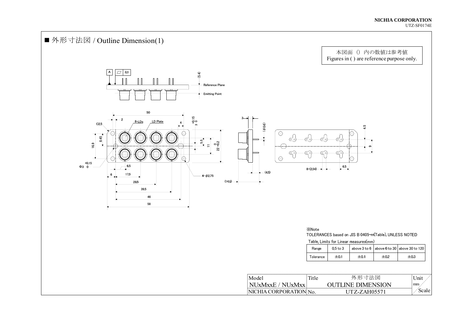#### **NICHIA CORPORATION**  UTZ-SF0174E

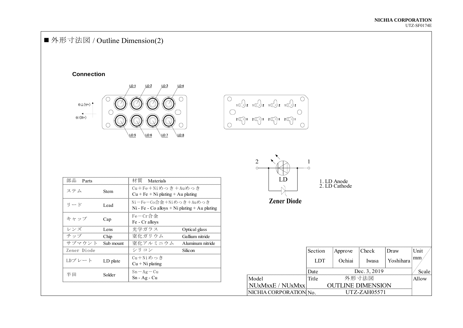# ■外形寸法図 / Outline Dimension(2)

#### **Connection**





| 部品<br>Parts |           | 材質<br>Materials                                                           |                   | LD                                                                                                                                                                                                                                                                                                                                 |            | 1. LD Anode              |                 |
|-------------|-----------|---------------------------------------------------------------------------|-------------------|------------------------------------------------------------------------------------------------------------------------------------------------------------------------------------------------------------------------------------------------------------------------------------------------------------------------------------|------------|--------------------------|-----------------|
| ステム         | Stem      | $Cu + Fe + Ni$ めっき + Auめっき<br>$Cu + Fe + Ni$ plating + Au plating         |                   |                                                                                                                                                                                                                                                                                                                                    |            | 2. LD Cathode            |                 |
| リード         | Lead      | Ni-Fe-Co合金+Niめっき+Auめっき<br>$Ni$ - Fe - Co alloys + Ni plating + Au plating |                   | <b>Zener Diode</b>                                                                                                                                                                                                                                                                                                                 |            |                          |                 |
| キャップ        | Cap       | $Fe-Cr$ 合金<br>Fe - Cr alloys                                              |                   |                                                                                                                                                                                                                                                                                                                                    |            |                          |                 |
| レンズ         | Lens      | 光学ガラス                                                                     | Optical glass     |                                                                                                                                                                                                                                                                                                                                    |            |                          |                 |
| チップ         | Chip      | 窒化ガリウム                                                                    | Gallium nitride   |                                                                                                                                                                                                                                                                                                                                    |            |                          |                 |
| サブマウント      | Sub mount | 窒化アルミニウム                                                                  | A luminum nitride |                                                                                                                                                                                                                                                                                                                                    |            |                          |                 |
| Zener Diode |           | シリコン                                                                      | Silicon           |                                                                                                                                                                                                                                                                                                                                    | Section    | Approve                  | Check           |
| LDプレート      | LD plate  | Cu+Niめっき<br>$Cu + Ni$ plating                                             |                   |                                                                                                                                                                                                                                                                                                                                    | <b>LDT</b> | Ochiai                   | Iwasa           |
| 半田          | Solder    | $Sn-Ag-Cu$                                                                |                   |                                                                                                                                                                                                                                                                                                                                    | Date       |                          | Dec. 3, 2019    |
|             |           | $Sn - Ag - Cu$                                                            |                   | Model                                                                                                                                                                                                                                                                                                                              | Title      |                          | 外形寸法図           |
|             |           |                                                                           |                   | NUxMxxE / NUxMxx                                                                                                                                                                                                                                                                                                                   |            | <b>OUTLINE DIMENSION</b> |                 |
|             |           |                                                                           |                   | $\mathbf{H}$ $\mathbf{H}$ $\mathbf{H}$ $\mathbf{H}$ $\mathbf{H}$ $\mathbf{H}$ $\mathbf{H}$ $\mathbf{H}$ $\mathbf{H}$ $\mathbf{H}$ $\mathbf{H}$ $\mathbf{H}$ $\mathbf{H}$ $\mathbf{H}$ $\mathbf{H}$ $\mathbf{H}$ $\mathbf{H}$ $\mathbf{H}$ $\mathbf{H}$ $\mathbf{H}$ $\mathbf{H}$ $\mathbf{H}$ $\mathbf{H}$ $\mathbf{H}$ $\mathbf{$ |            |                          | TIMM MATIA - -- |



**Zener Diode** 

| サブマウント      | Sub mount | 窒化アルミニウム                      | Aluminum nitride |                        |            |                          |              |           |              |
|-------------|-----------|-------------------------------|------------------|------------------------|------------|--------------------------|--------------|-----------|--------------|
| Zener Diode |           | シリコン                          | Silicon          |                        | Section    | Approve                  | Check        | Draw      | Unit         |
| LDプレート      | LD plate  | Cu+Niめっき<br>$Cu + Ni$ plating |                  |                        | <b>LDT</b> | Ochiai                   | Iwasa        | Yoshihara | $ mm\rangle$ |
| 半田          | Solder    | $Sn-Ag-Cu$                    |                  |                        | Date       |                          | Dec. 3, 2019 |           | Scale        |
|             |           | $Sn - Ag - Cu$                |                  | Model                  | Title      |                          | 外形寸法図        |           | Allow        |
|             |           |                               |                  | NUxMxxE / NUxMxx       |            | <b>OUTLINE DIMENSION</b> |              |           |              |
|             |           |                               |                  | NICHIA CORPORATION No. |            |                          | UTZ-ZAH05571 |           |              |